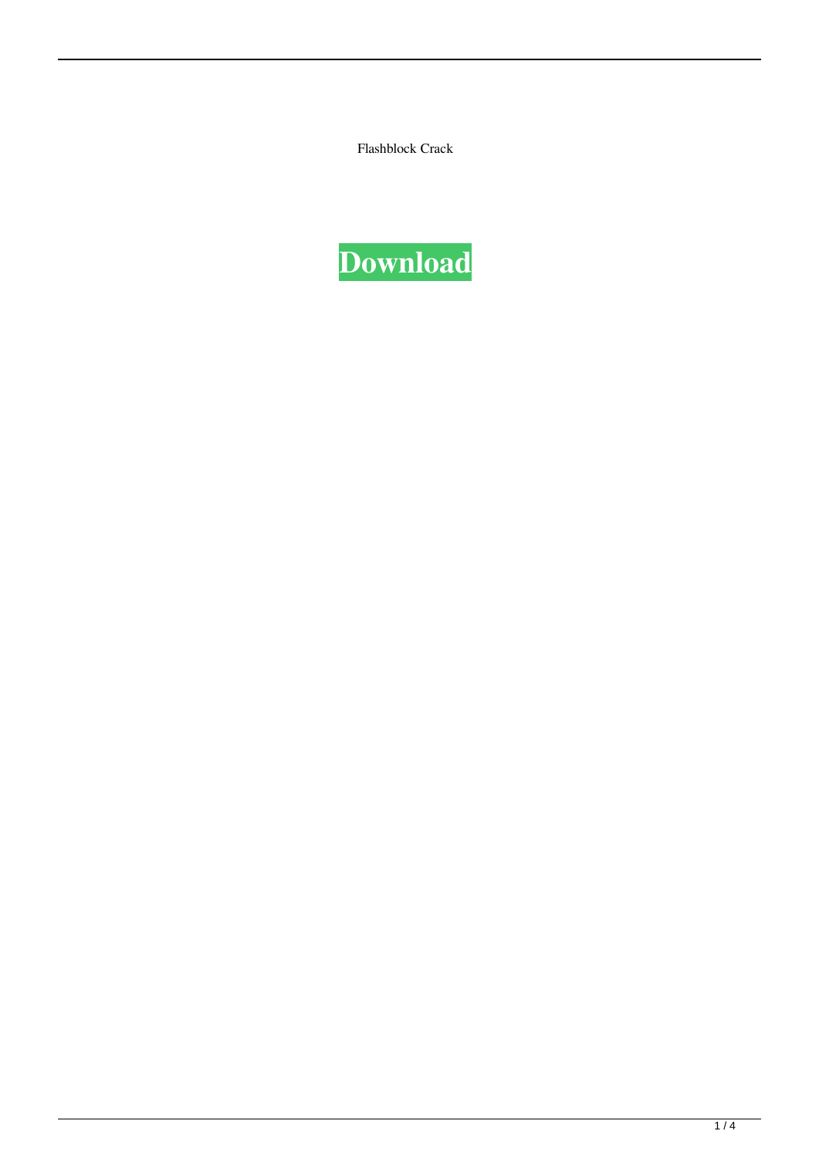Flashblock Crack

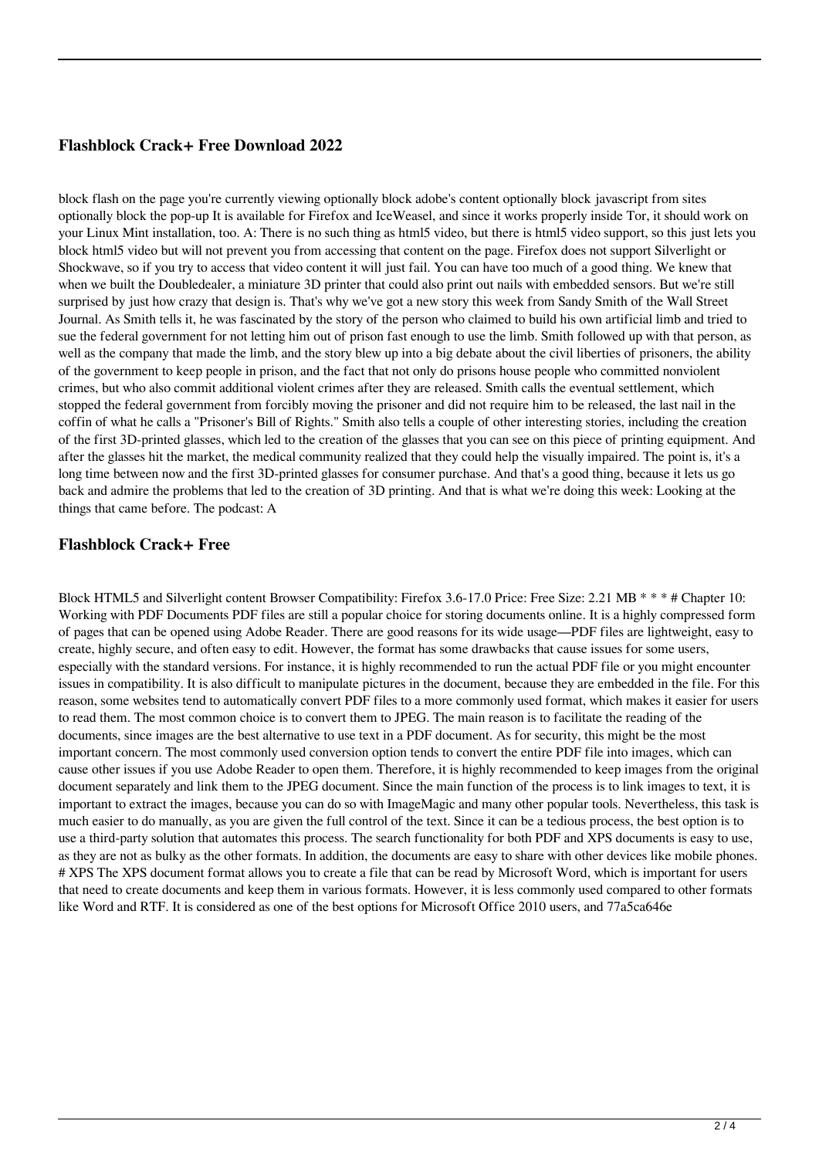## **Flashblock Crack+ Free Download 2022**

block flash on the page you're currently viewing optionally block adobe's content optionally block javascript from sites optionally block the pop-up It is available for Firefox and IceWeasel, and since it works properly inside Tor, it should work on your Linux Mint installation, too. A: There is no such thing as html5 video, but there is html5 video support, so this just lets you block html5 video but will not prevent you from accessing that content on the page. Firefox does not support Silverlight or Shockwave, so if you try to access that video content it will just fail. You can have too much of a good thing. We knew that when we built the Doubledealer, a miniature 3D printer that could also print out nails with embedded sensors. But we're still surprised by just how crazy that design is. That's why we've got a new story this week from Sandy Smith of the Wall Street Journal. As Smith tells it, he was fascinated by the story of the person who claimed to build his own artificial limb and tried to sue the federal government for not letting him out of prison fast enough to use the limb. Smith followed up with that person, as well as the company that made the limb, and the story blew up into a big debate about the civil liberties of prisoners, the ability of the government to keep people in prison, and the fact that not only do prisons house people who committed nonviolent crimes, but who also commit additional violent crimes after they are released. Smith calls the eventual settlement, which stopped the federal government from forcibly moving the prisoner and did not require him to be released, the last nail in the coffin of what he calls a "Prisoner's Bill of Rights." Smith also tells a couple of other interesting stories, including the creation of the first 3D-printed glasses, which led to the creation of the glasses that you can see on this piece of printing equipment. And after the glasses hit the market, the medical community realized that they could help the visually impaired. The point is, it's a long time between now and the first 3D-printed glasses for consumer purchase. And that's a good thing, because it lets us go back and admire the problems that led to the creation of 3D printing. And that is what we're doing this week: Looking at the things that came before. The podcast: A

### **Flashblock Crack+ Free**

Block HTML5 and Silverlight content Browser Compatibility: Firefox 3.6-17.0 Price: Free Size: 2.21 MB \* \* \* # Chapter 10: Working with PDF Documents PDF files are still a popular choice for storing documents online. It is a highly compressed form of pages that can be opened using Adobe Reader. There are good reasons for its wide usage—PDF files are lightweight, easy to create, highly secure, and often easy to edit. However, the format has some drawbacks that cause issues for some users, especially with the standard versions. For instance, it is highly recommended to run the actual PDF file or you might encounter issues in compatibility. It is also difficult to manipulate pictures in the document, because they are embedded in the file. For this reason, some websites tend to automatically convert PDF files to a more commonly used format, which makes it easier for users to read them. The most common choice is to convert them to JPEG. The main reason is to facilitate the reading of the documents, since images are the best alternative to use text in a PDF document. As for security, this might be the most important concern. The most commonly used conversion option tends to convert the entire PDF file into images, which can cause other issues if you use Adobe Reader to open them. Therefore, it is highly recommended to keep images from the original document separately and link them to the JPEG document. Since the main function of the process is to link images to text, it is important to extract the images, because you can do so with ImageMagic and many other popular tools. Nevertheless, this task is much easier to do manually, as you are given the full control of the text. Since it can be a tedious process, the best option is to use a third-party solution that automates this process. The search functionality for both PDF and XPS documents is easy to use, as they are not as bulky as the other formats. In addition, the documents are easy to share with other devices like mobile phones. # XPS The XPS document format allows you to create a file that can be read by Microsoft Word, which is important for users that need to create documents and keep them in various formats. However, it is less commonly used compared to other formats like Word and RTF. It is considered as one of the best options for Microsoft Office 2010 users, and 77a5ca646e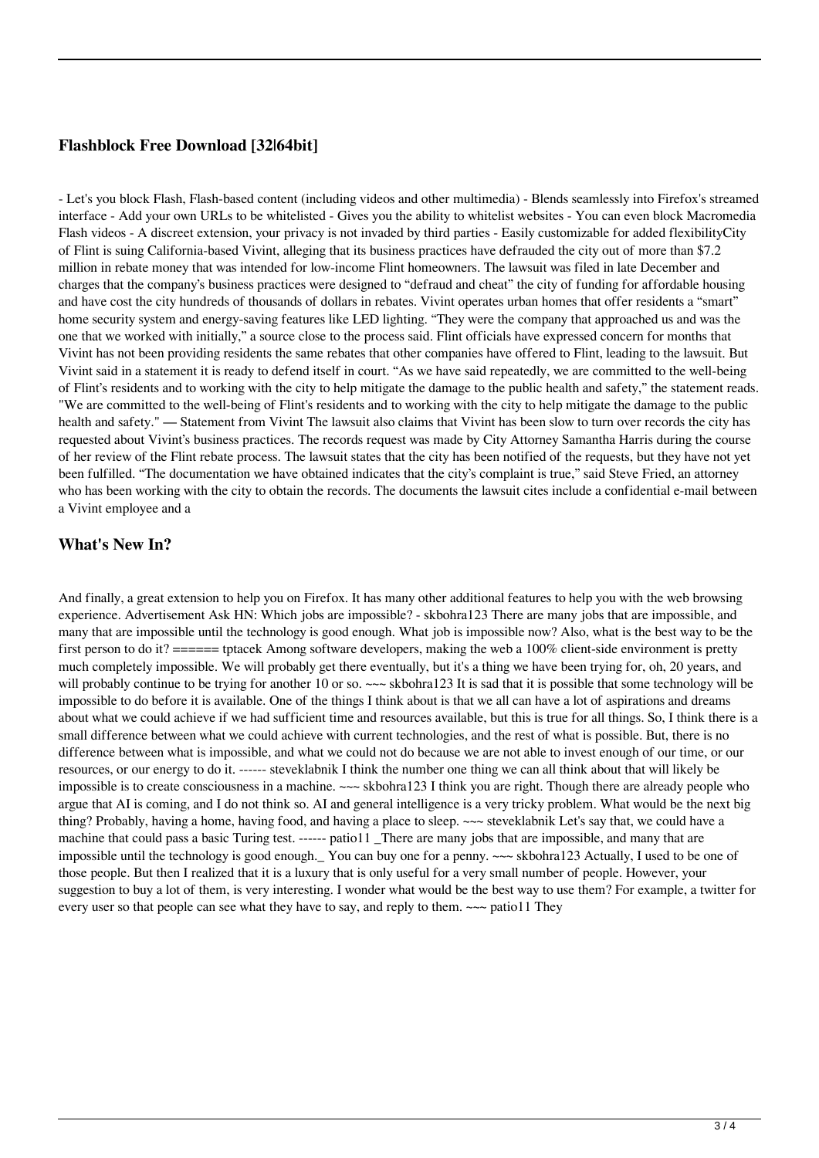## **Flashblock Free Download [32|64bit]**

- Let's you block Flash, Flash-based content (including videos and other multimedia) - Blends seamlessly into Firefox's streamed interface - Add your own URLs to be whitelisted - Gives you the ability to whitelist websites - You can even block Macromedia Flash videos - A discreet extension, your privacy is not invaded by third parties - Easily customizable for added flexibilityCity of Flint is suing California-based Vivint, alleging that its business practices have defrauded the city out of more than \$7.2 million in rebate money that was intended for low-income Flint homeowners. The lawsuit was filed in late December and charges that the company's business practices were designed to "defraud and cheat" the city of funding for affordable housing and have cost the city hundreds of thousands of dollars in rebates. Vivint operates urban homes that offer residents a "smart" home security system and energy-saving features like LED lighting. "They were the company that approached us and was the one that we worked with initially," a source close to the process said. Flint officials have expressed concern for months that Vivint has not been providing residents the same rebates that other companies have offered to Flint, leading to the lawsuit. But Vivint said in a statement it is ready to defend itself in court. "As we have said repeatedly, we are committed to the well-being of Flint's residents and to working with the city to help mitigate the damage to the public health and safety," the statement reads. "We are committed to the well-being of Flint's residents and to working with the city to help mitigate the damage to the public health and safety." — Statement from Vivint The lawsuit also claims that Vivint has been slow to turn over records the city has requested about Vivint's business practices. The records request was made by City Attorney Samantha Harris during the course of her review of the Flint rebate process. The lawsuit states that the city has been notified of the requests, but they have not yet been fulfilled. "The documentation we have obtained indicates that the city's complaint is true," said Steve Fried, an attorney who has been working with the city to obtain the records. The documents the lawsuit cites include a confidential e-mail between a Vivint employee and a

## **What's New In?**

And finally, a great extension to help you on Firefox. It has many other additional features to help you with the web browsing experience. Advertisement Ask HN: Which jobs are impossible? - skbohra123 There are many jobs that are impossible, and many that are impossible until the technology is good enough. What job is impossible now? Also, what is the best way to be the first person to do it?  $====$  tptacek Among software developers, making the web a 100% client-side environment is pretty much completely impossible. We will probably get there eventually, but it's a thing we have been trying for, oh, 20 years, and will probably continue to be trying for another 10 or so. ~~~ skbohra123 It is sad that it is possible that some technology will be impossible to do before it is available. One of the things I think about is that we all can have a lot of aspirations and dreams about what we could achieve if we had sufficient time and resources available, but this is true for all things. So, I think there is a small difference between what we could achieve with current technologies, and the rest of what is possible. But, there is no difference between what is impossible, and what we could not do because we are not able to invest enough of our time, or our resources, or our energy to do it. ------ steveklabnik I think the number one thing we can all think about that will likely be impossible is to create consciousness in a machine. ~~~ skbohra123 I think you are right. Though there are already people who argue that AI is coming, and I do not think so. AI and general intelligence is a very tricky problem. What would be the next big thing? Probably, having a home, having food, and having a place to sleep. ~~~ steveklabnik Let's say that, we could have a machine that could pass a basic Turing test. ------ patio11 There are many jobs that are impossible, and many that are impossible until the technology is good enough.\_ You can buy one for a penny. ~~~ skbohra123 Actually, I used to be one of those people. But then I realized that it is a luxury that is only useful for a very small number of people. However, your suggestion to buy a lot of them, is very interesting. I wonder what would be the best way to use them? For example, a twitter for every user so that people can see what they have to say, and reply to them.  $\sim\sim$  patio11 They